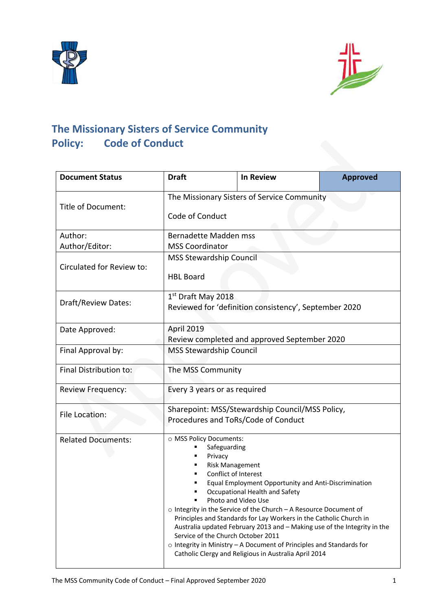



# **The Missionary Sisters of Service Community Policy: Code of Conduct**

| <b>Document Status</b>    | <b>Draft</b>                                                                                                                               | <b>In Review</b>                                                                                                                                                                                                                                                                                                                                                                                                                                                            | <b>Approved</b> |
|---------------------------|--------------------------------------------------------------------------------------------------------------------------------------------|-----------------------------------------------------------------------------------------------------------------------------------------------------------------------------------------------------------------------------------------------------------------------------------------------------------------------------------------------------------------------------------------------------------------------------------------------------------------------------|-----------------|
| Title of Document:        | The Missionary Sisters of Service Community                                                                                                |                                                                                                                                                                                                                                                                                                                                                                                                                                                                             |                 |
|                           | Code of Conduct                                                                                                                            |                                                                                                                                                                                                                                                                                                                                                                                                                                                                             |                 |
| Author:                   | Bernadette Madden mss                                                                                                                      |                                                                                                                                                                                                                                                                                                                                                                                                                                                                             |                 |
| Author/Editor:            | <b>MSS Coordinator</b>                                                                                                                     |                                                                                                                                                                                                                                                                                                                                                                                                                                                                             |                 |
| Circulated for Review to: | <b>MSS Stewardship Council</b><br><b>HBL Board</b>                                                                                         |                                                                                                                                                                                                                                                                                                                                                                                                                                                                             |                 |
| Draft/Review Dates:       | 1 <sup>st</sup> Draft May 2018<br>Reviewed for 'definition consistency', September 2020                                                    |                                                                                                                                                                                                                                                                                                                                                                                                                                                                             |                 |
| Date Approved:            | April 2019<br>Review completed and approved September 2020                                                                                 |                                                                                                                                                                                                                                                                                                                                                                                                                                                                             |                 |
| Final Approval by:        | <b>MSS Stewardship Council</b>                                                                                                             |                                                                                                                                                                                                                                                                                                                                                                                                                                                                             |                 |
| Final Distribution to:    | The MSS Community                                                                                                                          |                                                                                                                                                                                                                                                                                                                                                                                                                                                                             |                 |
| Review Frequency:         | Every 3 years or as required                                                                                                               |                                                                                                                                                                                                                                                                                                                                                                                                                                                                             |                 |
| File Location:            | Sharepoint: MSS/Stewardship Council/MSS Policy,<br>Procedures and ToRs/Code of Conduct                                                     |                                                                                                                                                                                                                                                                                                                                                                                                                                                                             |                 |
| <b>Related Documents:</b> | O MSS Policy Documents:<br>Safeguarding<br>Privacy<br><b>Risk Management</b><br>Conflict of Interest<br>Service of the Church October 2011 | Equal Employment Opportunity and Anti-Discrimination<br>Occupational Health and Safety<br>Photo and Video Use<br>o Integrity in the Service of the Church - A Resource Document of<br>Principles and Standards for Lay Workers in the Catholic Church in<br>Australia updated February 2013 and - Making use of the Integrity in the<br>$\circ$ Integrity in Ministry - A Document of Principles and Standards for<br>Catholic Clergy and Religious in Australia April 2014 |                 |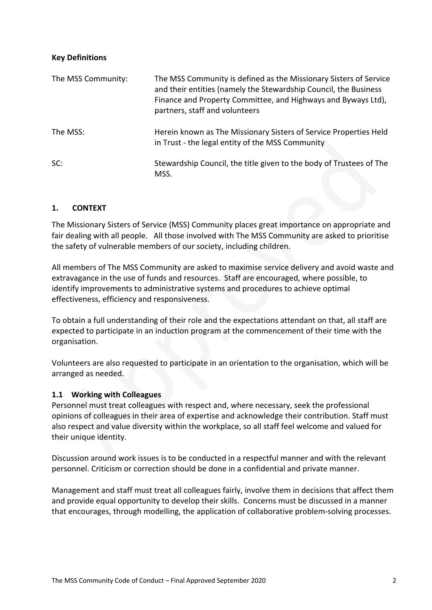## **Key Definitions**

| The MSS Community: | The MSS Community is defined as the Missionary Sisters of Service<br>and their entities (namely the Stewardship Council, the Business<br>Finance and Property Committee, and Highways and Byways Ltd),<br>partners, staff and volunteers |
|--------------------|------------------------------------------------------------------------------------------------------------------------------------------------------------------------------------------------------------------------------------------|
| The MSS:           | Herein known as The Missionary Sisters of Service Properties Held<br>in Trust - the legal entity of the MSS Community                                                                                                                    |
| SC:                | Stewardship Council, the title given to the body of Trustees of The<br>MSS.                                                                                                                                                              |

## **1. CONTEXT**

The Missionary Sisters of Service (MSS) Community places great importance on appropriate and fair dealing with all people. All those involved with The MSS Community are asked to prioritise the safety of vulnerable members of our society, including children.

All members of The MSS Community are asked to maximise service delivery and avoid waste and extravagance in the use of funds and resources. Staff are encouraged, where possible, to identify improvements to administrative systems and procedures to achieve optimal effectiveness, efficiency and responsiveness.

To obtain a full understanding of their role and the expectations attendant on that, all staff are expected to participate in an induction program at the commencement of their time with the organisation.

Volunteers are also requested to participate in an orientation to the organisation, which will be arranged as needed.

## **1.1 Working with Colleagues**

Personnel must treat colleagues with respect and, where necessary, seek the professional opinions of colleagues in their area of expertise and acknowledge their contribution. Staff must also respect and value diversity within the workplace, so all staff feel welcome and valued for their unique identity.

Discussion around work issues is to be conducted in a respectful manner and with the relevant personnel. Criticism or correction should be done in a confidential and private manner.

Management and staff must treat all colleagues fairly, involve them in decisions that affect them and provide equal opportunity to develop their skills. Concerns must be discussed in a manner that encourages, through modelling, the application of collaborative problem-solving processes.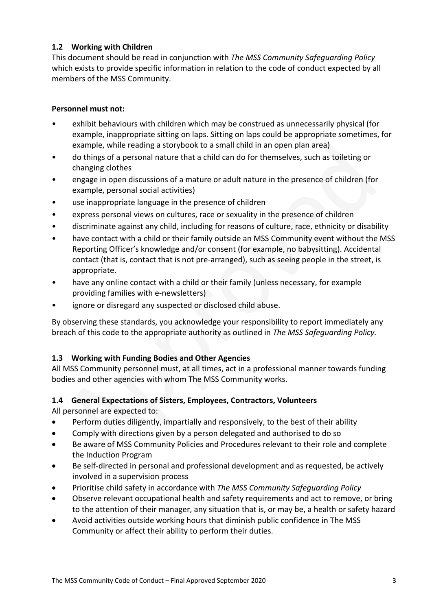# **1.2 Working with Children**

This document should be read in conjunction with *The MSS Community Safeguarding Policy* which exists to provide specific information in relation to the code of conduct expected by all members of the MSS Community.

## **Personnel must not:**

- exhibit behaviours with children which may be construed as unnecessarily physical (for example, inappropriate sitting on laps. Sitting on laps could be appropriate sometimes, for example, while reading a storybook to a small child in an open plan area)
- do things of a personal nature that a child can do for themselves, such as toileting or changing clothes
- engage in open discussions of a mature or adult nature in the presence of children (for example, personal social activities)
- use inappropriate language in the presence of children
- express personal views on cultures, race or sexuality in the presence of children
- discriminate against any child, including for reasons of culture, race, ethnicity or disability
- have contact with a child or their family outside an MSS Community event without the MSS Reporting Officer's knowledge and/or consent (for example, no babysitting). Accidental contact (that is, contact that is not pre-arranged), such as seeing people in the street, is appropriate.
- have any online contact with a child or their family (unless necessary, for example providing families with e-newsletters)
- ignore or disregard any suspected or disclosed child abuse.

By observing these standards, you acknowledge your responsibility to report immediately any breach of this code to the appropriate authority as outlined in *The MSS Safeguarding Policy.*

# **1.3 Working with Funding Bodies and Other Agencies**

All MSS Community personnel must, at all times, act in a professional manner towards funding bodies and other agencies with whom The MSS Community works.

## **1.4 General Expectations of Sisters, Employees, Contractors, Volunteers**

All personnel are expected to:

- Perform duties diligently, impartially and responsively, to the best of their ability
- Comply with directions given by a person delegated and authorised to do so
- Be aware of MSS Community Policies and Procedures relevant to their role and complete the Induction Program
- Be self-directed in personal and professional development and as requested, be actively involved in a supervision process
- Prioritise child safety in accordance with *The MSS Community Safeguarding Policy*
- Observe relevant occupational health and safety requirements and act to remove, or bring to the attention of their manager, any situation that is, or may be, a health or safety hazard
- Avoid activities outside working hours that diminish public confidence in The MSS Community or affect their ability to perform their duties.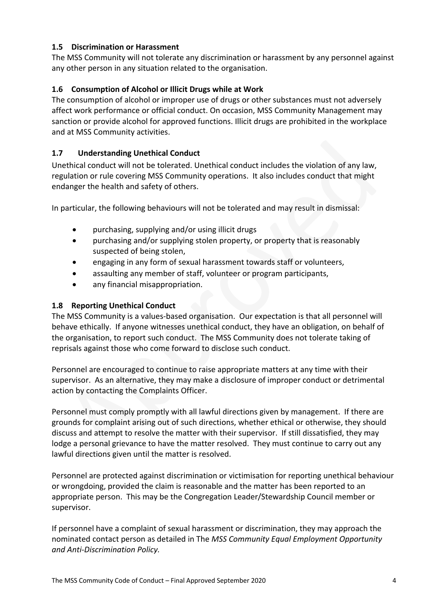# **1.5 Discrimination or Harassment**

The MSS Community will not tolerate any discrimination or harassment by any personnel against any other person in any situation related to the organisation.

# **1.6 Consumption of Alcohol or Illicit Drugs while at Work**

The consumption of alcohol or improper use of drugs or other substances must not adversely affect work performance or official conduct. On occasion, MSS Community Management may sanction or provide alcohol for approved functions. Illicit drugs are prohibited in the workplace and at MSS Community activities.

# **1.7 Understanding Unethical Conduct**

Unethical conduct will not be tolerated. Unethical conduct includes the violation of any law, regulation or rule covering MSS Community operations. It also includes conduct that might endanger the health and safety of others.

In particular, the following behaviours will not be tolerated and may result in dismissal:

- purchasing, supplying and/or using illicit drugs
- purchasing and/or supplying stolen property, or property that is reasonably suspected of being stolen,
- engaging in any form of sexual harassment towards staff or volunteers,
- assaulting any member of staff, volunteer or program participants,
- any financial misappropriation.

#### **1.8 Reporting Unethical Conduct**

The MSS Community is a values-based organisation. Our expectation is that all personnel will behave ethically. If anyone witnesses unethical conduct, they have an obligation, on behalf of the organisation, to report such conduct. The MSS Community does not tolerate taking of reprisals against those who come forward to disclose such conduct.

Personnel are encouraged to continue to raise appropriate matters at any time with their supervisor. As an alternative, they may make a disclosure of improper conduct or detrimental action by contacting the Complaints Officer.

Personnel must comply promptly with all lawful directions given by management. If there are grounds for complaint arising out of such directions, whether ethical or otherwise, they should discuss and attempt to resolve the matter with their supervisor. If still dissatisfied, they may lodge a personal grievance to have the matter resolved. They must continue to carry out any lawful directions given until the matter is resolved.

Personnel are protected against discrimination or victimisation for reporting unethical behaviour or wrongdoing, provided the claim is reasonable and the matter has been reported to an appropriate person. This may be the Congregation Leader/Stewardship Council member or supervisor.

If personnel have a complaint of sexual harassment or discrimination, they may approach the nominated contact person as detailed in The *MSS Community Equal Employment Opportunity and Anti-Discrimination Policy.*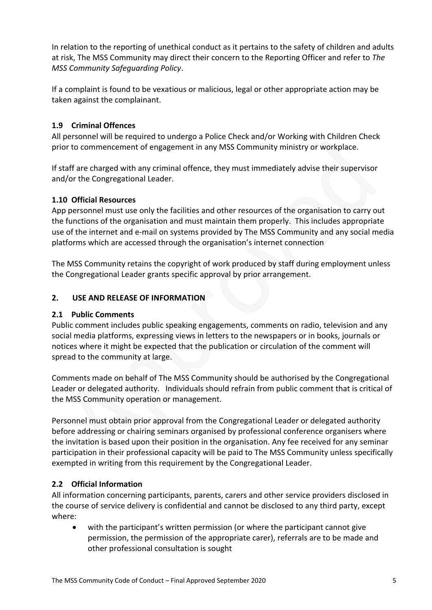In relation to the reporting of unethical conduct as it pertains to the safety of children and adults at risk, The MSS Community may direct their concern to the Reporting Officer and refer to *The MSS Community Safeguarding Policy*.

If a complaint is found to be vexatious or malicious, legal or other appropriate action may be taken against the complainant.

# **1.9 Criminal Offences**

All personnel will be required to undergo a Police Check and/or Working with Children Check prior to commencement of engagement in any MSS Community ministry or workplace.

If staff are charged with any criminal offence, they must immediately advise their supervisor and/or the Congregational Leader.

# **1.10 Official Resources**

App personnel must use only the facilities and other resources of the organisation to carry out the functions of the organisation and must maintain them properly. This includes appropriate use of the internet and e-mail on systems provided by The MSS Community and any social media platforms which are accessed through the organisation's internet connection

The MSS Community retains the copyright of work produced by staff during employment unless the Congregational Leader grants specific approval by prior arrangement.

# **2. USE AND RELEASE OF INFORMATION**

## **2.1 Public Comments**

Public comment includes public speaking engagements, comments on radio, television and any social media platforms, expressing views in letters to the newspapers or in books, journals or notices where it might be expected that the publication or circulation of the comment will spread to the community at large.

Comments made on behalf of The MSS Community should be authorised by the Congregational Leader or delegated authority. Individuals should refrain from public comment that is critical of the MSS Community operation or management.

Personnel must obtain prior approval from the Congregational Leader or delegated authority before addressing or chairing seminars organised by professional conference organisers where the invitation is based upon their position in the organisation. Any fee received for any seminar participation in their professional capacity will be paid to The MSS Community unless specifically exempted in writing from this requirement by the Congregational Leader.

# **2.2 Official Information**

All information concerning participants, parents, carers and other service providers disclosed in the course of service delivery is confidential and cannot be disclosed to any third party, except where:

• with the participant's written permission (or where the participant cannot give permission, the permission of the appropriate carer), referrals are to be made and other professional consultation is sought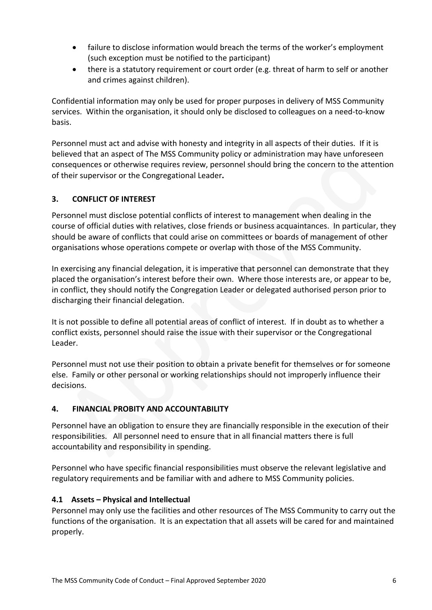- failure to disclose information would breach the terms of the worker's employment (such exception must be notified to the participant)
- there is a statutory requirement or court order (e.g. threat of harm to self or another and crimes against children).

Confidential information may only be used for proper purposes in delivery of MSS Community services. Within the organisation, it should only be disclosed to colleagues on a need-to-know basis.

Personnel must act and advise with honesty and integrity in all aspects of their duties. If it is believed that an aspect of The MSS Community policy or administration may have unforeseen consequences or otherwise requires review, personnel should bring the concern to the attention of their supervisor or the Congregational Leader**.**

# **3. CONFLICT OF INTEREST**

Personnel must disclose potential conflicts of interest to management when dealing in the course of official duties with relatives, close friends or business acquaintances. In particular, they should be aware of conflicts that could arise on committees or boards of management of other organisations whose operations compete or overlap with those of the MSS Community.

In exercising any financial delegation, it is imperative that personnel can demonstrate that they placed the organisation's interest before their own. Where those interests are, or appear to be, in conflict, they should notify the Congregation Leader or delegated authorised person prior to discharging their financial delegation.

It is not possible to define all potential areas of conflict of interest. If in doubt as to whether a conflict exists, personnel should raise the issue with their supervisor or the Congregational Leader.

Personnel must not use their position to obtain a private benefit for themselves or for someone else. Family or other personal or working relationships should not improperly influence their decisions.

## **4. FINANCIAL PROBITY AND ACCOUNTABILITY**

Personnel have an obligation to ensure they are financially responsible in the execution of their responsibilities. All personnel need to ensure that in all financial matters there is full accountability and responsibility in spending.

Personnel who have specific financial responsibilities must observe the relevant legislative and regulatory requirements and be familiar with and adhere to MSS Community policies.

## **4.1 Assets – Physical and Intellectual**

Personnel may only use the facilities and other resources of The MSS Community to carry out the functions of the organisation. It is an expectation that all assets will be cared for and maintained properly.